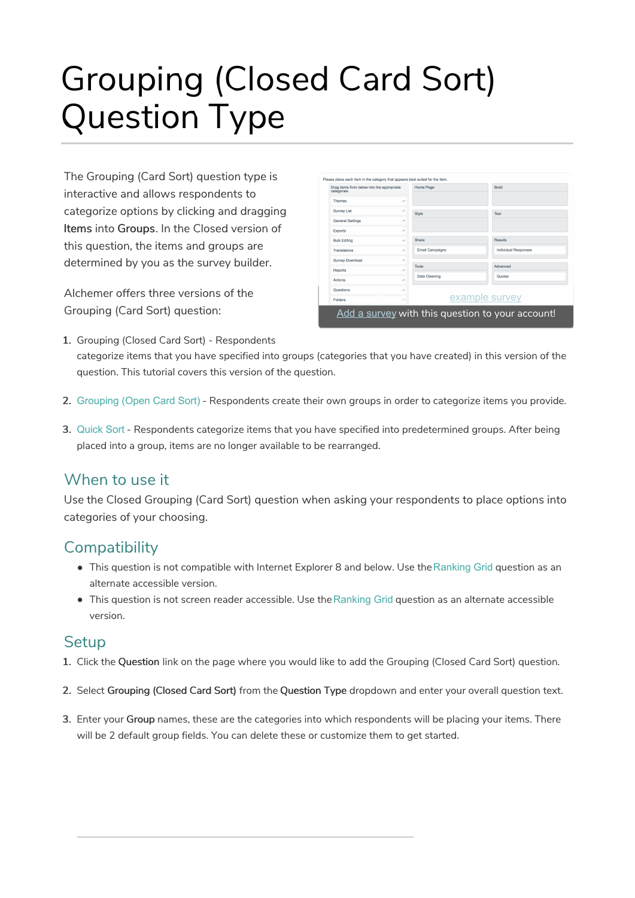# Grouping (Closed Card Sort) Question Type

The Grouping (Card Sort) question type is interactive and allows respondents to categorize options by clicking and dragging Items into Groups. In the Closed version of this question, the items and groups are determined by you as the survey builder.

Alchemer offers three versions of the Grouping (Card Sort) question:

| Drag items from below into the appropriate<br>categories. |               | Home Page              | Build                       |
|-----------------------------------------------------------|---------------|------------------------|-----------------------------|
| <b>Themes</b>                                             | $\rightarrow$ |                        |                             |
| Survey List                                               | À             | Style                  | Test                        |
| <b>General Settings</b>                                   | $\rightarrow$ |                        |                             |
| <b>Exports</b>                                            | $\rightarrow$ |                        |                             |
| <b>Bulk Editing</b>                                       | $\rightarrow$ | Share                  | Results                     |
| Translations                                              | ×             | <b>Email Campaigns</b> | <b>Individual Responses</b> |
| Survey Download                                           | $\rightarrow$ |                        |                             |
| <b>Reports</b>                                            | $\rightarrow$ | Tools                  | Advanced                    |
| Actions                                                   | $\rightarrow$ | Data Cleaning          | Quotas                      |
| Questions                                                 | $\rightarrow$ |                        |                             |
| <b>Folders</b>                                            | $\lambda$     |                        | example survey              |

- 1. Grouping (Closed Card Sort) Respondents categorize items that you have specified into groups (categories that you have created) in this version of the question. This tutorial covers this version of the question.
- 2. Grouping (Open Card Sort) Respondents create their own groups in order to categorize items you provide.
- 3. Quick Sort Respondents categorize items that you have specified into predetermined groups. After being placed into a group, items are no longer available to be rearranged.

#### When to use it

Use the Closed Grouping (Card Sort) question when asking your respondents to place options into categories of your choosing.

#### **Compatibility**

- This question is not compatible with Internet Explorer 8 and below. Use theRanking Grid question as an alternate accessible version.
- This question is not screen reader accessible. Use the Ranking Grid question as an alternate accessible version.

#### **Setup**

- 1. Click the Question link on the page where you would like to add the Grouping (Closed Card Sort) question.
- 2. Select Grouping (Closed Card Sort) from the Question Type dropdown and enter your overall question text.
- 3. Enter your Group names, these are the categories into which respondents will be placing your items. There will be 2 default group fields. You can delete these or customize them to get started.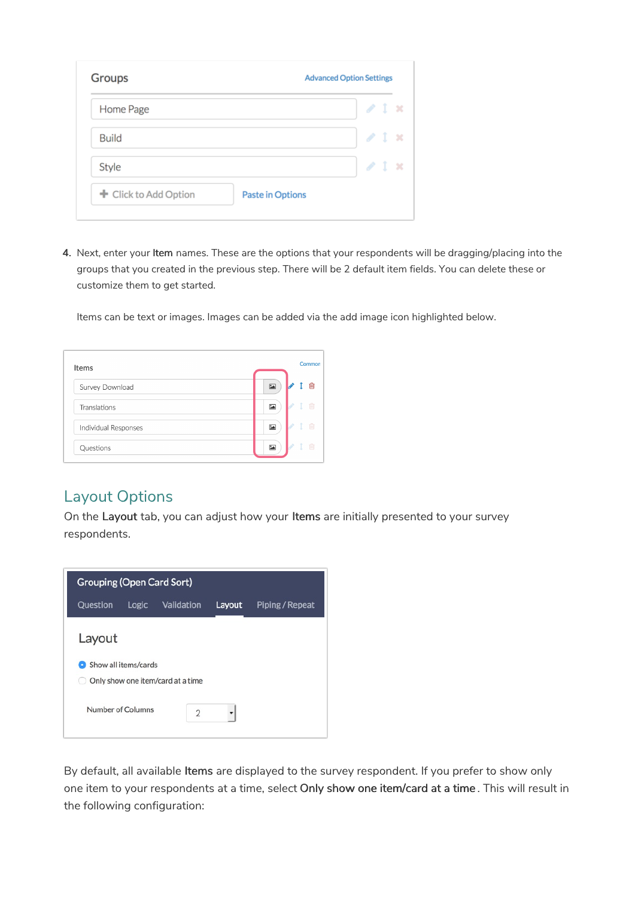| Home Page             |                         | $\sqrt{1}$ x      |  |
|-----------------------|-------------------------|-------------------|--|
| <b>Build</b>          |                         | $\ell$ 1 $\times$ |  |
| Style                 |                         | $\lambda$ i x     |  |
| + Click to Add Option | <b>Paste in Options</b> |                   |  |

4. Next, enter your Item names. These are the options that your respondents will be dragging/placing into the groups that you created in the previous step. There will be 2 default item fields. You can delete these or customize them to get started.

Items can be text or images. Images can be added via the add image icon highlighted below.

| <b>Items</b>         |                         | Common |
|----------------------|-------------------------|--------|
| Survey Download      | $\sum$                  | ⋒      |
| Translations         | 囜                       | 而      |
| Individual Responses | $\overline{\mathbf{r}}$ | 愉      |
| Questions            | 囜                       | m      |

#### Layout Options

On the Layout tab, you can adjust how your Items are initially presented to your survey respondents.



By default, all available Items are displayed to the survey respondent. If you prefer to show only one item to your respondents at a time, select Only show one item/card at a time . This will result in the following configuration: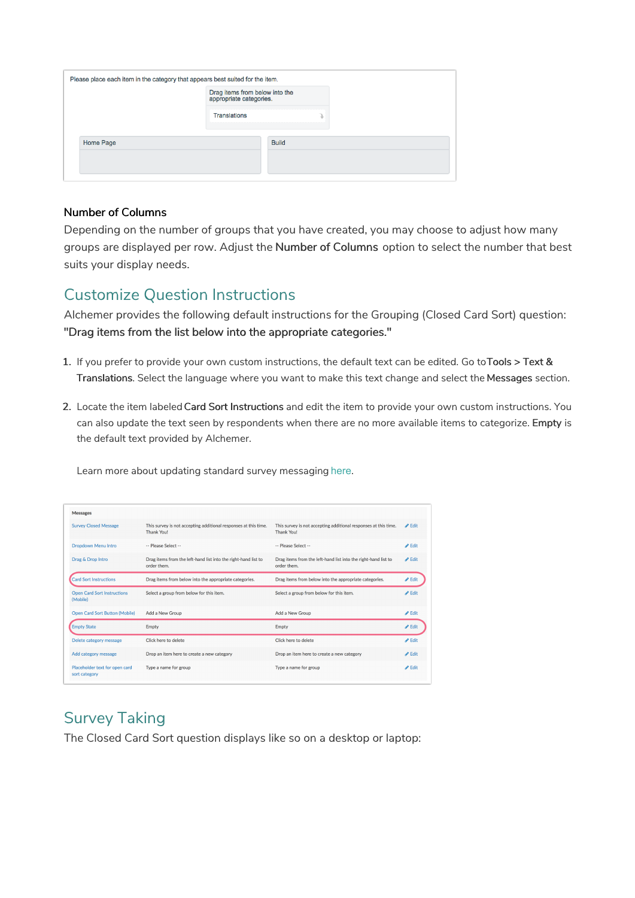|           | Drag items from below into the<br>appropriate categories. |              |  |  |
|-----------|-----------------------------------------------------------|--------------|--|--|
|           | <b>Translations</b>                                       |              |  |  |
| Home Page |                                                           | <b>Build</b> |  |  |
|           |                                                           |              |  |  |

#### Number of Columns

Depending on the number of groups that you have created, you may choose to adjust how many groups are displayed per row. Adjust the Number of Columns option to select the number that best suits your display needs.

#### Customize Question Instructions

Alchemer provides the following default instructions for the Grouping (Closed Card Sort) question: "Drag items from the list below into the appropriate categories."

- 1. If you prefer to provide your own custom instructions, the default text can be edited. Go toTools > Text & Translations. Select the language where you want to make this text change and select the Messages section.
- 2. Locate the item labeled Card Sort Instructions and edit the item to provide your own custom instructions. You can also update the text seen by respondents when there are no more available items to categorize. Empty is the default text provided by Alchemer.

| <b>Messages</b>                                 |                                                                               |                                                                               |                            |
|-------------------------------------------------|-------------------------------------------------------------------------------|-------------------------------------------------------------------------------|----------------------------|
| <b>Survey Closed Message</b>                    | This survey is not accepting additional responses at this time.<br>Thank You! | This survey is not accepting additional responses at this time.<br>Thank You! | $\blacktriangleright$ Edit |
| <b>Dropdown Menu Intro</b>                      | -- Please Select --                                                           | -- Please Select --                                                           | $\blacktriangleright$ Edit |
| Drag & Drop Intro                               | Drag items from the left-hand list into the right-hand list to<br>order them. | Drag items from the left-hand list into the right-hand list to<br>order them. | $\blacktriangleright$ Edit |
| <b>Card Sort Instructions</b>                   | Drag items from below into the appropriate categories.                        | Drag items from below into the appropriate categories.                        | $\blacktriangleright$ Edit |
| <b>Open Card Sort Instructions</b><br>(Mobile)  | Select a group from below for this item.                                      | Select a group from below for this item.                                      | $\triangle$ Edit           |
| <b>Open Card Sort Button (Mobile)</b>           | Add a New Group                                                               | Add a New Group                                                               | <b>∕</b> Edit              |
| <b>Empty State</b>                              | Empty                                                                         | Empty                                                                         | <b>∕</b> Edit              |
| Delete category message                         | Click here to delete                                                          | Click here to delete                                                          | $\blacktriangleright$ Edit |
| Add category message                            | Drop an item here to create a new category                                    | Drop an item here to create a new category                                    | $\triangle$ Edit           |
| Placeholder text for open card<br>sort category | Type a name for group                                                         | Type a name for group                                                         | $\triangle$ Edit           |
|                                                 |                                                                               |                                                                               |                            |

Learn more about updating standard survey messaging here.

## Survey Taking

The Closed Card Sort question displays like so on a desktop or laptop: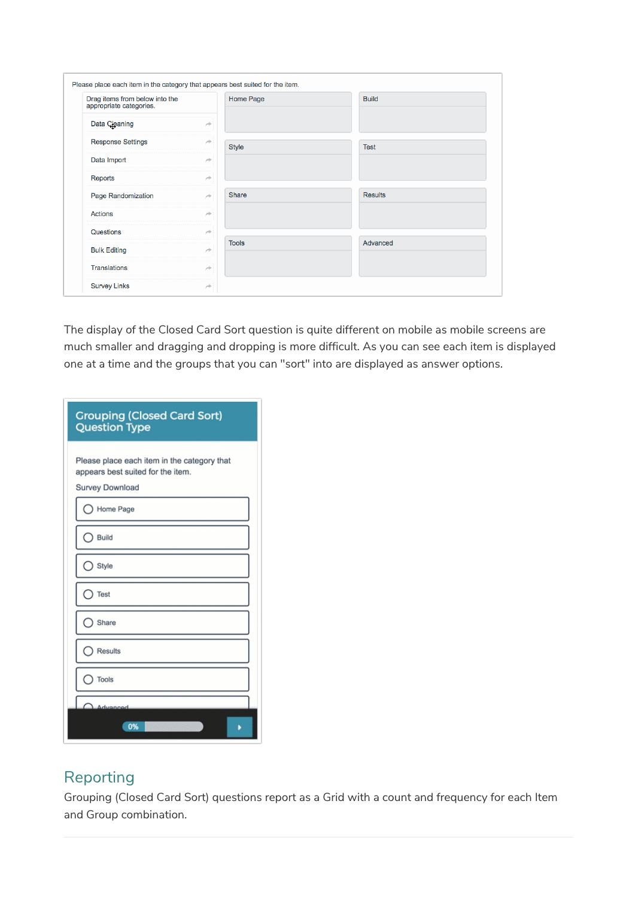| Drag items from below into the<br>appropriate categories. |               | Home Page    | <b>Build</b>   |
|-----------------------------------------------------------|---------------|--------------|----------------|
| Data Cleaning                                             | ×             |              |                |
| <b>Response Settings</b>                                  | ×             | <b>Style</b> | <b>Test</b>    |
| Data Import                                               | $\rightarrow$ |              |                |
| Reports                                                   | ×             |              |                |
| Page Randomization                                        | ×             | <b>Share</b> | <b>Results</b> |
| <b>Actions</b>                                            | ×             |              |                |
| Questions                                                 | $\rightarrow$ |              |                |
| <b>Bulk Editing</b>                                       | ×             | <b>Tools</b> | Advanced       |
| <b>Translations</b>                                       | ×             |              |                |

The display of the Closed Card Sort question is quite different on mobile as mobile screens are much smaller and dragging and dropping is more difficult. As you can see each item is displayed one at a time and the groups that you can "sort" into are displayed as answer options.

| <b>Grouping (Closed Card Sort)</b><br><b>Question Type</b>                                          |  |  |  |  |  |  |
|-----------------------------------------------------------------------------------------------------|--|--|--|--|--|--|
| Please place each item in the category that<br>appears best suited for the item.<br>Survey Download |  |  |  |  |  |  |
| Home Page                                                                                           |  |  |  |  |  |  |
| Build                                                                                               |  |  |  |  |  |  |
| Style                                                                                               |  |  |  |  |  |  |
| Test                                                                                                |  |  |  |  |  |  |
| Share                                                                                               |  |  |  |  |  |  |
| Results                                                                                             |  |  |  |  |  |  |
| Tools                                                                                               |  |  |  |  |  |  |
| Advanced<br>0%                                                                                      |  |  |  |  |  |  |

### Reporting

Grouping (Closed Card Sort) questions report as a Grid with a count and frequency for each Item and Group combination.